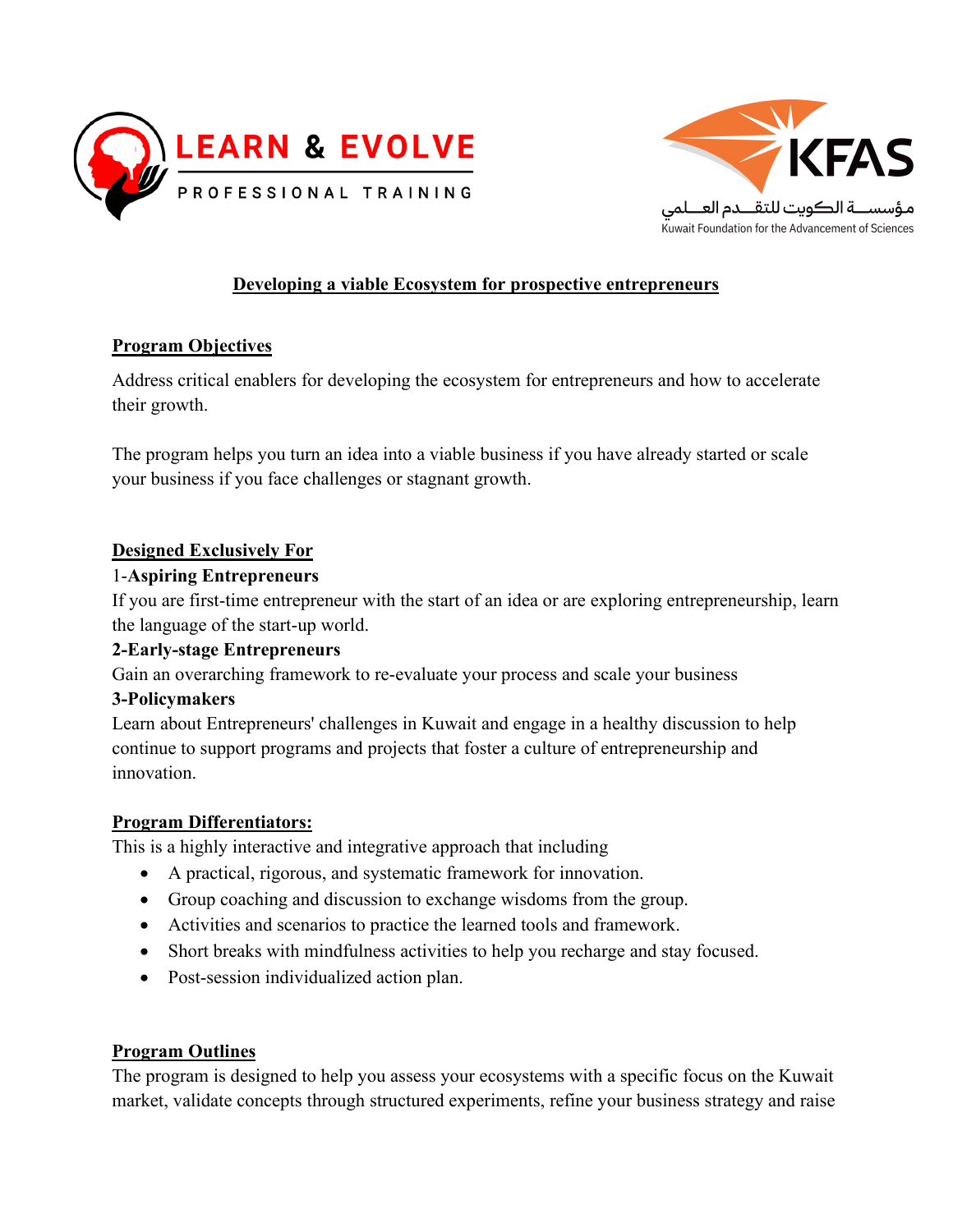



# **Developing a viable Ecosystem for prospective entrepreneurs**

## **Program Objectives**

Address critical enablers for developing the ecosystem for entrepreneurs and how to accelerate their growth.

The program helps you turn an idea into a viable business if you have already started or scale your business if you face challenges or stagnant growth.

## **Designed Exclusively For**

## 1-**Aspiring Entrepreneurs**

If you are first-time entrepreneur with the start of an idea or are exploring entrepreneurship, learn the language of the start-up world.

## **2-Early-stage Entrepreneurs**

Gain an overarching framework to re-evaluate your process and scale your business

#### **3-Policymakers**

Learn about Entrepreneurs' challenges in Kuwait and engage in a healthy discussion to help continue to support programs and projects that foster a culture of entrepreneurship and innovation.

#### **Program Differentiators:**

This is a highly interactive and integrative approach that including

- A practical, rigorous, and systematic framework for innovation.
- Group coaching and discussion to exchange wisdoms from the group.
- Activities and scenarios to practice the learned tools and framework.
- Short breaks with mindfulness activities to help you recharge and stay focused.
- Post-session individualized action plan.

#### **Program Outlines**

The program is designed to help you assess your ecosystems with a specific focus on the Kuwait market, validate concepts through structured experiments, refine your business strategy and raise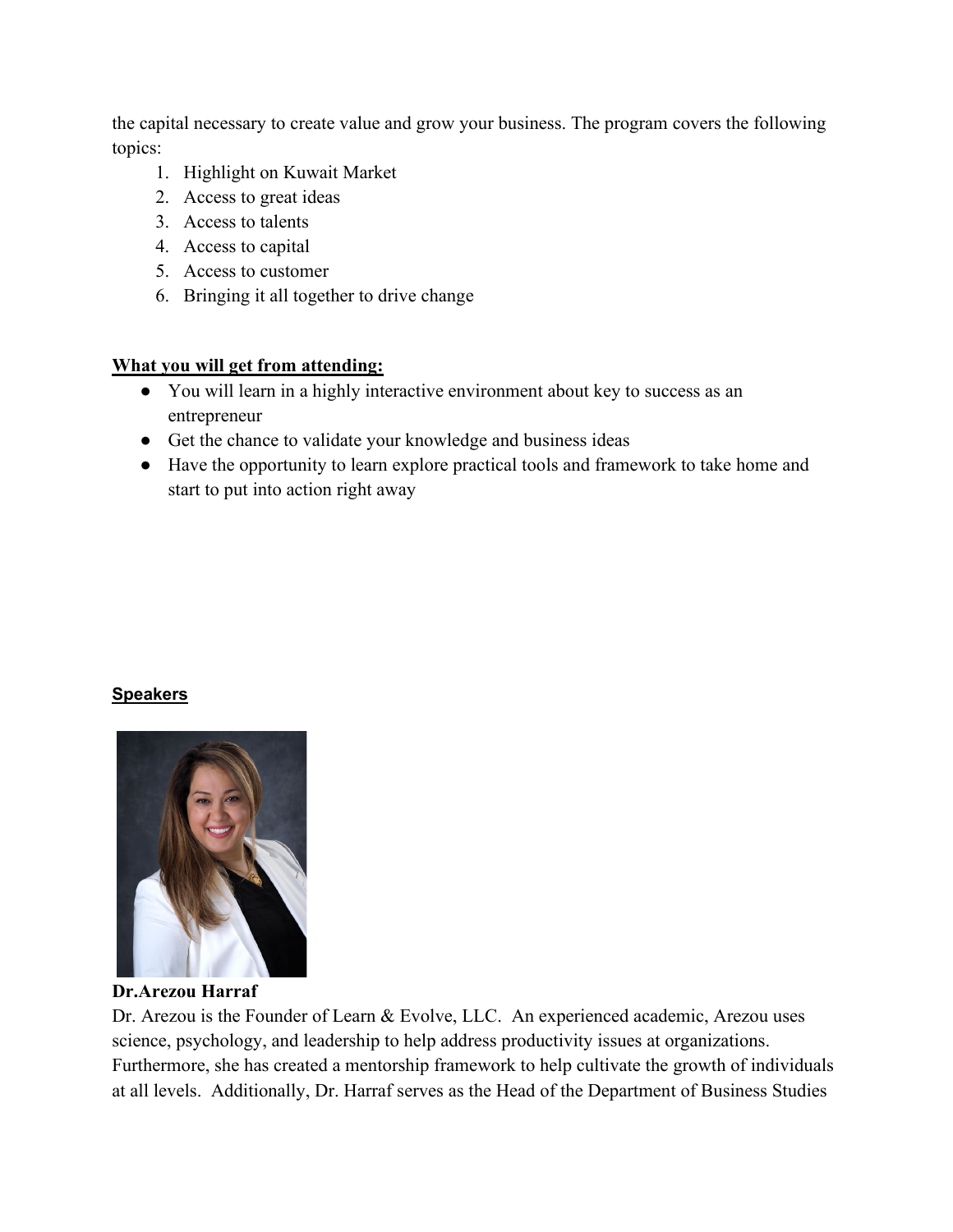the capital necessary to create value and grow your business. The program covers the following topics:

- 1. Highlight on Kuwait Market
- 2. Access to great ideas
- 3. Access to talents
- 4. Access to capital
- 5. Access to customer
- 6. Bringing it all together to drive change

## **What you will get from attending:**

- You will learn in a highly interactive environment about key to success as an entrepreneur
- Get the chance to validate your knowledge and business ideas
- Have the opportunity to learn explore practical tools and framework to take home and start to put into action right away

#### **Speakers**



**Dr.Arezou Harraf**

Dr. Arezou is the Founder of Learn & Evolve, LLC. An experienced academic, Arezou uses science, psychology, and leadership to help address productivity issues at organizations. Furthermore, she has created a mentorship framework to help cultivate the growth of individuals at all levels. Additionally, Dr. Harraf serves as the Head of the Department of Business Studies